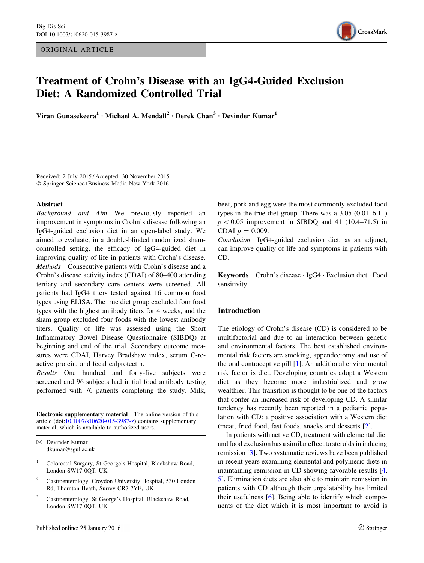ORIGINAL ARTICLE



# Treatment of Crohn's Disease with an IgG4-Guided Exclusion Diet: A Randomized Controlled Trial

Viran Gunasekeera<sup>1</sup> · Michael A. Mendall<sup>2</sup> · Derek Chan<sup>3</sup> · Devinder Kumar<sup>1</sup>

Received: 2 July 2015 / Accepted: 30 November 2015 - Springer Science+Business Media New York 2016

## Abstract

Background and Aim We previously reported an improvement in symptoms in Crohn's disease following an IgG4-guided exclusion diet in an open-label study. We aimed to evaluate, in a double-blinded randomized shamcontrolled setting, the efficacy of IgG4-guided diet in improving quality of life in patients with Crohn's disease. Methods Consecutive patients with Crohn's disease and a Crohn's disease activity index (CDAI) of 80–400 attending tertiary and secondary care centers were screened. All patients had IgG4 titers tested against 16 common food types using ELISA. The true diet group excluded four food types with the highest antibody titers for 4 weeks, and the sham group excluded four foods with the lowest antibody titers. Quality of life was assessed using the Short Inflammatory Bowel Disease Questionnaire (SIBDQ) at beginning and end of the trial. Secondary outcome measures were CDAI, Harvey Bradshaw index, serum C-reactive protein, and fecal calprotectin.

Results One hundred and forty-five subjects were screened and 96 subjects had initial food antibody testing performed with 76 patients completing the study. Milk,

Electronic supplementary material The online version of this article (doi:10.1007/s10620-015-3987-z) contains supplementary material, which is available to authorized users.

- <sup>1</sup> Colorectal Surgery, St George's Hospital, Blackshaw Road, London SW17 0QT, UK
- <sup>2</sup> Gastroenterology, Croydon University Hospital, 530 London Rd, Thornton Heath, Surrey CR7 7YE, UK
- <sup>3</sup> Gastroenterology, St George's Hospital, Blackshaw Road, London SW17 0QT, UK

beef, pork and egg were the most commonly excluded food types in the true diet group. There was a 3.05 (0.01–6.11)  $p<0.05$  improvement in SIBDQ and 41 (10.4–71.5) in CDAI  $p = 0.009$ .

Conclusion IgG4-guided exclusion diet, as an adjunct, can improve quality of life and symptoms in patients with CD.

Keywords Crohn's disease - IgG4 - Exclusion diet - Food sensitivity

## Introduction

The etiology of Crohn's disease (CD) is considered to be multifactorial and due to an interaction between genetic and environmental factors. The best established environmental risk factors are smoking, appendectomy and use of the oral contraceptive pill [1]. An additional environmental risk factor is diet. Developing countries adopt a Western diet as they become more industrialized and grow wealthier. This transition is thought to be one of the factors that confer an increased risk of developing CD. A similar tendency has recently been reported in a pediatric population with CD: a positive association with a Western diet (meat, fried food, fast foods, snacks and desserts [2].

In patients with active CD, treatment with elemental diet and food exclusion has a similar effect to steroids in inducing remission [3]. Two systematic reviews have been published in recent years examining elemental and polymeric diets in maintaining remission in CD showing favorable results [4, 5]. Elimination diets are also able to maintain remission in patients with CD although their unpalatability has limited their usefulness [6]. Being able to identify which components of the diet which it is most important to avoid is

 $\boxtimes$  Devinder Kumar dkumar@sgul.ac.uk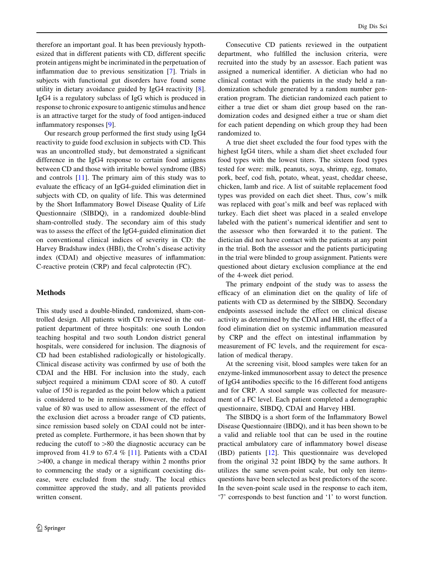therefore an important goal. It has been previously hypothesized that in different patients with CD, different specific protein antigens might be incriminated in the perpetuation of inflammation due to previous sensitization [7]. Trials in subjects with functional gut disorders have found some utility in dietary avoidance guided by IgG4 reactivity [8]. IgG4 is a regulatory subclass of IgG which is produced in response to chronic exposure to antigenic stimulus and hence is an attractive target for the study of food antigen-induced inflammatory responses [9].

Our research group performed the first study using IgG4 reactivity to guide food exclusion in subjects with CD. This was an uncontrolled study, but demonstrated a significant difference in the IgG4 response to certain food antigens between CD and those with irritable bowel syndrome (IBS) and controls [11]. The primary aim of this study was to evaluate the efficacy of an IgG4-guided elimination diet in subjects with CD, on quality of life. This was determined by the Short Inflammatory Bowel Disease Quality of Life Questionnaire (SIBDQ), in a randomized double-blind sham-controlled study. The secondary aim of this study was to assess the effect of the IgG4-guided elimination diet on conventional clinical indices of severity in CD: the Harvey Bradshaw index (HBI), the Crohn's disease activity index (CDAI) and objective measures of inflammation: C-reactive protein (CRP) and fecal calprotectin (FC).

## **Methods**

This study used a double-blinded, randomized, sham-controlled design. All patients with CD reviewed in the outpatient department of three hospitals: one south London teaching hospital and two south London district general hospitals, were considered for inclusion. The diagnosis of CD had been established radiologically or histologically. Clinical disease activity was confirmed by use of both the CDAI and the HBI. For inclusion into the study, each subject required a minimum CDAI score of 80. A cutoff value of 150 is regarded as the point below which a patient is considered to be in remission. However, the reduced value of 80 was used to allow assessment of the effect of the exclusion diet across a broader range of CD patients, since remission based solely on CDAI could not be interpreted as complete. Furthermore, it has been shown that by reducing the cutoff to  $>80$  the diagnostic accuracy can be improved from 41.9 to 67.4 % [11]. Patients with a CDAI  $>400$ , a change in medical therapy within 2 months prior to commencing the study or a significant coexisting disease, were excluded from the study. The local ethics committee approved the study, and all patients provided written consent.

Consecutive CD patients reviewed in the outpatient department, who fulfilled the inclusion criteria, were recruited into the study by an assessor. Each patient was assigned a numerical identifier. A dietician who had no clinical contact with the patients in the study held a randomization schedule generated by a random number generation program. The dietician randomized each patient to either a true diet or sham diet group based on the randomization codes and designed either a true or sham diet for each patient depending on which group they had been randomized to.

A true diet sheet excluded the four food types with the highest IgG4 titers, while a sham diet sheet excluded four food types with the lowest titers. The sixteen food types tested for were: milk, peanuts, soya, shrimp, egg, tomato, pork, beef, cod fish, potato, wheat, yeast, cheddar cheese, chicken, lamb and rice. A list of suitable replacement food types was provided on each diet sheet. Thus, cow's milk was replaced with goat's milk and beef was replaced with turkey. Each diet sheet was placed in a sealed envelope labeled with the patient's numerical identifier and sent to the assessor who then forwarded it to the patient. The dietician did not have contact with the patients at any point in the trial. Both the assessor and the patients participating in the trial were blinded to group assignment. Patients were questioned about dietary exclusion compliance at the end of the 4-week diet period.

The primary endpoint of the study was to assess the efficacy of an elimination diet on the quality of life of patients with CD as determined by the SIBDQ. Secondary endpoints assessed include the effect on clinical disease activity as determined by the CDAI and HBI, the effect of a food elimination diet on systemic inflammation measured by CRP and the effect on intestinal inflammation by measurement of FC levels, and the requirement for escalation of medical therapy.

At the screening visit, blood samples were taken for an enzyme-linked immunosorbent assay to detect the presence of IgG4 antibodies specific to the 16 different food antigens and for CRP. A stool sample was collected for measurement of a FC level. Each patient completed a demographic questionnaire, SIBDQ, CDAI and Harvey HBI.

The SIBDQ is a short form of the Inflammatory Bowel Disease Questionnaire (IBDQ), and it has been shown to be a valid and reliable tool that can be used in the routine practical ambulatory care of inflammatory bowel disease (IBD) patients [12]. This questionnaire was developed from the original 32 point IBDQ by the same authors. It utilizes the same seven-point scale, but only ten itemsquestions have been selected as best predictors of the score. In the seven-point scale used in the response to each item, '7' corresponds to best function and '1' to worst function.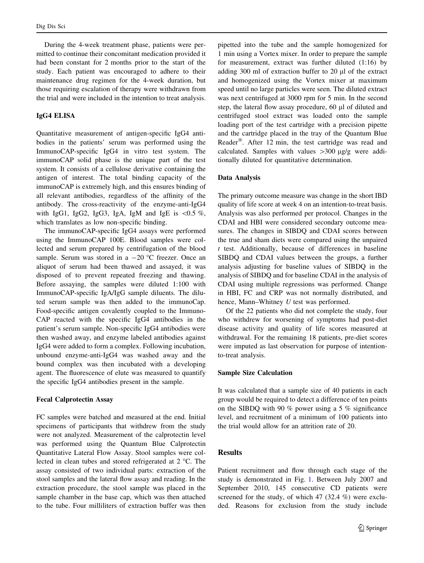During the 4-week treatment phase, patients were permitted to continue their concomitant medication provided it had been constant for 2 months prior to the start of the study. Each patient was encouraged to adhere to their maintenance drug regimen for the 4-week duration, but those requiring escalation of therapy were withdrawn from the trial and were included in the intention to treat analysis.

# IgG4 ELISA

Quantitative measurement of antigen-specific IgG4 antibodies in the patients' serum was performed using the ImmunoCAP-specific IgG4 in vitro test system. The immunoCAP solid phase is the unique part of the test system. It consists of a cellulose derivative containing the antigen of interest. The total binding capacity of the immunoCAP is extremely high, and this ensures binding of all relevant antibodies, regardless of the affinity of the antibody. The cross-reactivity of the enzyme-anti-IgG4 with IgG1, IgG2, IgG3, IgA, IgM and IgE is  $\langle 0.5 \, \%$ ,which translates as low non-specific binding.

The immunoCAP-specific IgG4 assays were performed using the ImmunoCAP 100E. Blood samples were collected and serum prepared by centrifugation of the blood sample. Serum was stored in a  $-20$  °C freezer. Once an aliquot of serum had been thawed and assayed, it was disposed of to prevent repeated freezing and thawing. Before assaying, the samples were diluted 1:100 with ImmunoCAP-specific IgA/IgG sample diluents. The diluted serum sample was then added to the immunoCap. Food-specific antigen covalently coupled to the Immuno-CAP reacted with the specific IgG4 antibodies in the patient's serum sample. Non-specific IgG4 antibodies were then washed away, and enzyme labeled antibodies against IgG4 were added to form a complex. Following incubation, unbound enzyme-anti-IgG4 was washed away and the bound complex was then incubated with a developing agent. The fluorescence of elute was measured to quantify the specific IgG4 antibodies present in the sample.

## Fecal Calprotectin Assay

FC samples were batched and measured at the end. Initial specimens of participants that withdrew from the study were not analyzed. Measurement of the calprotectin level was performed using the Quantum Blue Calprotectin Quantitative Lateral Flow Assay. Stool samples were collected in clean tubes and stored refrigerated at  $2^{\circ}$ C. The assay consisted of two individual parts: extraction of the stool samples and the lateral flow assay and reading. In the extraction procedure, the stool sample was placed in the sample chamber in the base cap, which was then attached to the tube. Four milliliters of extraction buffer was then pipetted into the tube and the sample homogenized for 1 min using a Vortex mixer. In order to prepare the sample for measurement, extract was further diluted (1:16) by adding  $300$  ml of extraction buffer to  $20 \mu$ l of the extract and homogenized using the Vortex mixer at maximum speed until no large particles were seen. The diluted extract was next centrifuged at 3000 rpm for 5 min. In the second step, the lateral flow assay procedure, 60 ul of diluted and centrifuged stool extract was loaded onto the sample loading port of the test cartridge with a precision pipette and the cartridge placed in the tray of the Quantum Blue Reader<sup>®</sup>. After 12 min, the test cartridge was read and calculated. Samples with values  $>300$  µg/g were additionally diluted for quantitative determination.

## Data Analysis

The primary outcome measure was change in the short IBD quality of life score at week 4 on an intention-to-treat basis. Analysis was also performed per protocol. Changes in the CDAI and HBI were considered secondary outcome measures. The changes in SIBDQ and CDAI scores between the true and sham diets were compared using the unpaired  $t$  test. Additionally, because of differences in baseline SIBDQ and CDAI values between the groups, a further analysis adjusting for baseline values of SIBDQ in the analysis of SIBDQ and for baseline CDAI in the analysis of CDAI using multiple regressions was performed. Change in HBI, FC and CRP was not normally distributed, and hence, Mann–Whitney U test was performed.

Of the 22 patients who did not complete the study, four who withdrew for worsening of symptoms had post-diet disease activity and quality of life scores measured at withdrawal. For the remaining 18 patients, pre-diet scores were imputed as last observation for purpose of intentionto-treat analysis.

#### Sample Size Calculation

It was calculated that a sample size of 40 patients in each group would be required to detect a difference of ten points on the SIBDQ with 90 % power using a 5 % significance level, and recruitment of a minimum of 100 patients into the trial would allow for an attrition rate of 20.

# Results

Patient recruitment and flow through each stage of the study is demonstrated in Fig. 1. Between July 2007 and September 2010, 145 consecutive CD patients were screened for the study, of which 47 (32.4 %) were excluded. Reasons for exclusion from the study include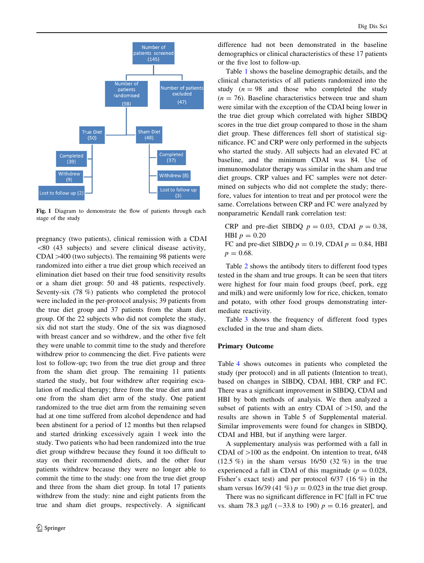

Fig. 1 Diagram to demonstrate the flow of patients through each stage of the study

pregnancy (two patients), clinical remission with a CDAI  $\leq$ 80 (43 subjects) and severe clinical disease activity,  $CDAI > 400$  (two subjects). The remaining 98 patients were randomized into either a true diet group which received an elimination diet based on their true food sensitivity results or a sham diet group: 50 and 48 patients, respectively. Seventy-six (78 %) patients who completed the protocol were included in the per-protocol analysis; 39 patients from the true diet group and 37 patients from the sham diet group. Of the 22 subjects who did not complete the study, six did not start the study. One of the six was diagnosed with breast cancer and so withdrew, and the other five felt they were unable to commit time to the study and therefore withdrew prior to commencing the diet. Five patients were lost to follow-up; two from the true diet group and three from the sham diet group. The remaining 11 patients started the study, but four withdrew after requiring escalation of medical therapy; three from the true diet arm and one from the sham diet arm of the study. One patient randomized to the true diet arm from the remaining seven had at one time suffered from alcohol dependence and had been abstinent for a period of 12 months but then relapsed and started drinking excessively again 1 week into the study. Two patients who had been randomized into the true diet group withdrew because they found it too difficult to stay on their recommended diets, and the other four patients withdrew because they were no longer able to commit the time to the study: one from the true diet group and three from the sham diet group. In total 17 patients withdrew from the study: nine and eight patients from the true and sham diet groups, respectively. A significant

difference had not been demonstrated in the baseline demographics or clinical characteristics of these 17 patients or the five lost to follow-up.

Table 1 shows the baseline demographic details, and the clinical characteristics of all patients randomized into the study  $(n = 98)$  and those who completed the study  $(n = 76)$ . Baseline characteristics between true and sham were similar with the exception of the CDAI being lower in the true diet group which correlated with higher SIBDQ scores in the true diet group compared to those in the sham diet group. These differences fell short of statistical significance. FC and CRP were only performed in the subjects who started the study. All subjects had an elevated FC at baseline, and the minimum CDAI was 84. Use of immunomodulator therapy was similar in the sham and true diet groups. CRP values and FC samples were not determined on subjects who did not complete the study; therefore, values for intention to treat and per protocol were the same. Correlations between CRP and FC were analyzed by nonparametric Kendall rank correlation test:

CRP and pre-diet SIBDQ  $p = 0.03$ , CDAI  $p = 0.38$ , **HBI**  $p = 0.20$ FC and pre-diet SIBDQ  $p = 0.19$ , CDAI  $p = 0.84$ , HBI  $p = 0.68$ .

Table 2 shows the antibody titers to different food types tested in the sham and true groups. It can be seen that titers were highest for four main food groups (beef, pork, egg and milk) and were uniformly low for rice, chicken, tomato and potato, with other food groups demonstrating intermediate reactivity.

Table 3 shows the frequency of different food types excluded in the true and sham diets.

## Primary Outcome

Table 4 shows outcomes in patients who completed the study (per protocol) and in all patients (Intention to treat), based on changes in SIBDQ, CDAI, HBI, CRP and FC. There was a significant improvement in SIBDQ, CDAI and HBI by both methods of analysis. We then analyzed a subset of patients with an entry CDAI of  $>150$ , and the results are shown in Table 5 of Supplemental material. Similar improvements were found for changes in SIBDQ, CDAI and HBI, but if anything were larger.

A supplementary analysis was performed with a fall in CDAI of  $>100$  as the endpoint. On intention to treat, 6/48 (12.5 %) in the sham versus 16/50 (32 %) in the true experienced a fall in CDAI of this magnitude ( $p = 0.028$ , Fisher's exact test) and per protocol 6/37 (16 %) in the sham versus 16/39 (41 %)  $p = 0.023$  in the true diet group.

There was no significant difference in FC [fall in FC true vs. sham 78.3  $\mu$ g/l (-33.8 to 190)  $p = 0.16$  greater], and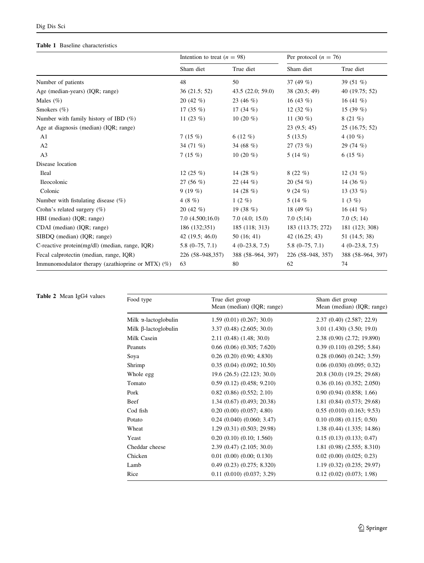# Table 1 Baseline characteristics

|                                                       | Intention to treat $(n = 98)$ |                   | Per protocol ( $n = 76$ ) |                   |
|-------------------------------------------------------|-------------------------------|-------------------|---------------------------|-------------------|
|                                                       | Sham diet                     | True diet         | Sham diet                 | True diet         |
| Number of patients                                    | 48                            | 50                | 37 $(49\%)$               | 39 $(51\%)$       |
| Age (median-years) (IQR; range)                       | 36(21.5; 52)                  | 43.5(22.0; 59.0)  | 38 (20.5; 49)             | 40 (19.75; 52)    |
| Males $(\%)$                                          | $20(42\%)$                    | 23 (46 $%$ )      | 16 $(43\%)$               | 16 $(41\%)$       |
| Smokers $(\%)$                                        | 17 $(35\%)$                   | 17 $(34\%)$       | 12 $(32\%)$               | 15 $(39\%)$       |
| Number with family history of IBD $(\%)$              | 11 $(23 \%)$                  | 10 $(20\%$        | 11 $(30\%$                | $8(21\%)$         |
| Age at diagnosis (median) (IQR; range)                |                               |                   | 23(9.5; 45)               | 25(16.75; 52)     |
| A <sub>1</sub>                                        | $7(15\%)$                     | 6 $(12 \%)$       | 5(13.5)                   | 4 (10 %)          |
| A2                                                    | 34 $(71\%)$                   | 34 (68 $%$ )      | 27(73%)                   | 29 $(74\%)$       |
| A <sub>3</sub>                                        | 7(15%)                        | 10 $(20\%$        | 5 $(14 \%)$               | 6 $(15 \%)$       |
| Disease location                                      |                               |                   |                           |                   |
| <b>Ileal</b>                                          | 12 $(25 \%)$                  | 14 $(28\%)$       | $8(22\%)$                 | 12 $(31\%)$       |
| Ileocolonic                                           | 27 (56 $%$ )                  | 22 $(44\%)$       | 20(54%)                   | 14 (36 %)         |
| Colonic                                               | $9(19\%)$                     | 14 (28 %)         | 9(24%)                    | 13 $(33\%)$       |
| Number with fistulating disease $(\%)$                | 4 (8 $%$ )                    | 1 $(2 \%)$        | 5 $(14\%$                 | 1 $(3 \%)$        |
| Crohn's related surgery $(\%)$                        | $20(42\%)$                    | 19 $(38\%)$       | 18 (49 %)                 | 16 $(41\%)$       |
| HBI (median) (IQR; range)                             | 7.0(4.500;16.0)               | 7.0(4.0; 15.0)    | 7.0(5:14)                 | 7.0(5; 14)        |
| CDAI (median) (IQR; range)                            | 186 (132;351)                 | 185 (118; 313)    | 183 (113.75; 272)         | 181 (123; 308)    |
| SIBDQ (median) (IQR; range)                           | 42 $(19.5; 46.0)$             | 50(16; 41)        | 42(16.25; 43)             | 51 (14.5; 38)     |
| C-reactive protein( $mg/dl$ ) (median, range, $IQR$ ) | $5.8(0-75, 7.1)$              | $4(0-23.8, 7.5)$  | $5.8(0-75, 7.1)$          | $4(0-23.8, 7.5)$  |
| Fecal calprotectin (median, range, IQR)               | 226 (58–948,357)              | 388 (58-964, 397) | 226 (58–948, 357)         | 388 (58-964, 397) |
| Immunomodulator therapy (azathioprine or MTX) (%)     | 63                            | 80                | 62                        | 74                |

# **Table 2** Mean IgG4 values  $\frac{1}{1}$

| Food type                    | True diet group<br>Mean (median) (IQR; range) | Sham diet group<br>Mean (median) (IQR; range) |
|------------------------------|-----------------------------------------------|-----------------------------------------------|
| Milk $\alpha$ -lactoglobulin | 1.59(0.01)(0.267; 30.0)                       | 2.37(0.40)(2.587; 22.9)                       |
| Milk $\beta$ -lactoglobulin  | 3.37(0.48)(2.605; 30.0)                       | $3.01$ $(1.430)$ $(3.50; 19.0)$               |
| Milk Casein                  | 2.11(0.48)(1.48; 30.0)                        | 2.38 (0.90) (2.72; 19.890)                    |
| Peanuts                      | 0.66(0.06)(0.305; 7.620)                      | 0.39(0.110)(0.295; 5.84)                      |
| Soya                         | 0.26(0.20)(0.90; 4.830)                       | $0.28$ $(0.060)$ $(0.242; 3.59)$              |
| Shrimp                       | 0.35(0.04)(0.092; 10.50)                      | 0.06(0.030)(0.095; 0.32)                      |
| Whole egg                    | 19.6 (26.5) (22.123; 30.0)                    | 20.8 (30.0) (19.25; 29.68)                    |
| Tomato                       | 0.59(0.12)(0.458; 9.210)                      | 0.36(0.16)(0.352; 2.050)                      |
| Pork                         | $0.82$ $(0.86)$ $(0.552; 2.10)$               | 0.90(0.94)(0.858; 1.66)                       |
| Beef                         | 1.34(0.67)(0.493; 20.38)                      | 1.81(0.84)(0.573; 29.68)                      |
| Cod fish                     | 0.20(0.00)(0.057; 4.80)                       | 0.55(0.010)(0.163; 9.53)                      |
| Potato                       | $0.24$ $(0.040)$ $(0.060; 3.47)$              | 0.10(0.08)(0.115; 0.50)                       |
| Wheat                        | 1.29(0.31)(0.503; 29.98)                      | 1.38(0.44)(1.335; 14.86)                      |
| Yeast                        | 0.20(0.10)(0.10; 1.560)                       | 0.15(0.13)(0.133; 0.47)                       |
| Cheddar cheese               | 2.39(0.47)(2.105; 30.0)                       | 1.81(0.98)(2.555; 8.310)                      |
| Chicken                      | $0.01$ $(0.00)$ $(0.00; 0.130)$               | $0.02$ $(0.00)$ $(0.025; 0.23)$               |
| Lamb                         | 0.49(0.23)(0.275; 8.320)                      | 1.19(0.32)(0.235; 29.97)                      |
| Rice                         | $0.11$ $(0.010)$ $(0.037; 3.29)$              | $0.12$ $(0.02)$ $(0.073; 1.98)$               |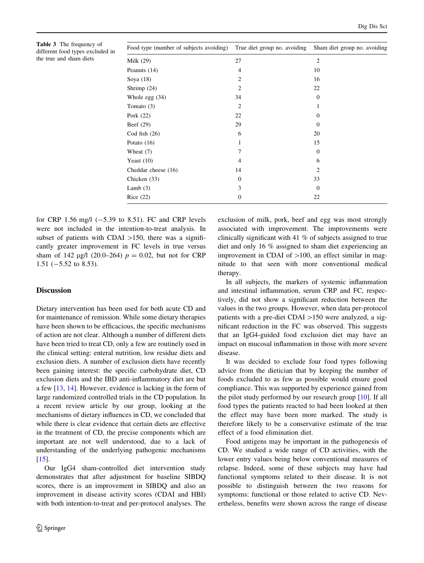| Table 3 The frequency of         |  |
|----------------------------------|--|
| different food types excluded in |  |
| the true and sham diets          |  |

| Food type (number of subjects avoiding) True diet group no. avoiding |                | Sham diet group no. avoiding |
|----------------------------------------------------------------------|----------------|------------------------------|
| Milk $(29)$                                                          | 27             | $\overline{2}$               |
| Peanuts $(14)$                                                       | 4              | 10                           |
| Soya $(18)$                                                          | $\overline{2}$ | 16                           |
| Shrimp $(24)$                                                        | $\overline{c}$ | 22                           |
| Whole egg $(34)$                                                     | 34             | $\theta$                     |
| Tomato $(3)$                                                         | $\overline{2}$ | 1                            |
| Pork $(22)$                                                          | 22             | $\Omega$                     |
| Beef (29)                                                            | 29             | $\Omega$                     |
| Cod fish $(26)$                                                      | 6              | 20                           |
| Potato $(16)$                                                        | 1              | 15                           |
| Wheat $(7)$                                                          | 7              | $\Omega$                     |
| Yeast $(10)$                                                         | 4              | 6                            |
| Cheddar cheese $(16)$                                                | 14             | $\overline{c}$               |
| Chicken (33)                                                         | $\mathbf{0}$   | 33                           |
| Lamb $(3)$                                                           | 3              | $\Omega$                     |
| Rice $(22)$                                                          | 0              | 22                           |

for CRP 1.56 mg/l  $(-5.39 \text{ to } 8.51)$ . FC and CRP levels were not included in the intention-to-treat analysis. In subset of patients with CDAI  $>150$ , there was a significantly greater improvement in FC levels in true versus sham of 142  $\mu$ g/l (20.0–264)  $p = 0.02$ , but not for CRP  $1.51$  ( $-5.52$  to 8.53).

# Discussion

Dietary intervention has been used for both acute CD and for maintenance of remission. While some dietary therapies have been shown to be efficacious, the specific mechanisms of action are not clear. Although a number of different diets have been tried to treat CD, only a few are routinely used in the clinical setting: enteral nutrition, low residue diets and exclusion diets. A number of exclusion diets have recently been gaining interest: the specific carbohydrate diet, CD exclusion diets and the IBD anti-inflammatory diet are but a few [13, 14]. However, evidence is lacking in the form of large randomized controlled trials in the CD population. In a recent review article by our group, looking at the mechanisms of dietary influences in CD, we concluded that while there is clear evidence that certain diets are effective in the treatment of CD, the precise components which are important are not well understood, due to a lack of understanding of the underlying pathogenic mechanisms [15].

Our IgG4 sham-controlled diet intervention study demonstrates that after adjustment for baseline SIBDQ scores, there is an improvement in SIBDQ and also an improvement in disease activity scores (CDAI and HBI) with both intention-to-treat and per-protocol analyses. The exclusion of milk, pork, beef and egg was most strongly associated with improvement. The improvements were clinically significant with 41 % of subjects assigned to true diet and only 16 % assigned to sham diet experiencing an improvement in CDAI of  $>100$ , an effect similar in magnitude to that seen with more conventional medical therapy.

In all subjects, the markers of systemic inflammation and intestinal inflammation, serum CRP and FC, respectively, did not show a significant reduction between the values in the two groups. However, when data per-protocol patients with a pre-diet CDAI  $>150$  were analyzed, a significant reduction in the FC was observed. This suggests that an IgG4-guided food exclusion diet may have an impact on mucosal inflammation in those with more severe disease.

It was decided to exclude four food types following advice from the dietician that by keeping the number of foods excluded to as few as possible would ensure good compliance. This was supported by experience gained from the pilot study performed by our research group  $[10]$ . If all food types the patients reacted to had been looked at then the effect may have been more marked. The study is therefore likely to be a conservative estimate of the true effect of a food elimination diet.

Food antigens may be important in the pathogenesis of CD. We studied a wide range of CD activities, with the lower entry values being below conventional measures of relapse. Indeed, some of these subjects may have had functional symptoms related to their disease. It is not possible to distinguish between the two reasons for symptoms: functional or those related to active CD. Nevertheless, benefits were shown across the range of disease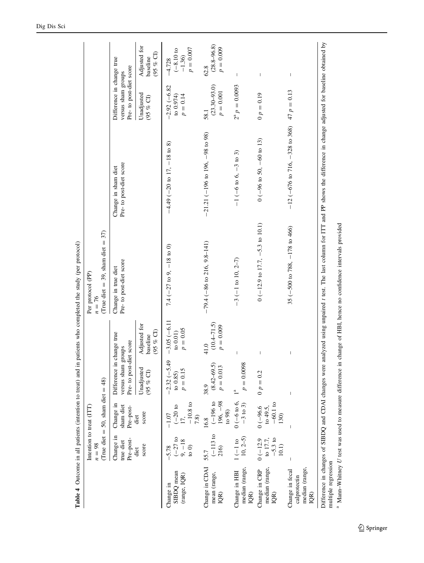|                                                           | Intention to treat (ITT)<br>$n = 98$                  | True diet = 50, sham diet = $48$ )          |                                                                            |                                         | (True diet = 39, sham diet = $37$ )<br>Per protocol (PP)<br>$n = 76$                                                                                                                                                                                                                                             |                                                |                                                                           |                                                                                                                                                                                                                                                                                                                                                                                  |
|-----------------------------------------------------------|-------------------------------------------------------|---------------------------------------------|----------------------------------------------------------------------------|-----------------------------------------|------------------------------------------------------------------------------------------------------------------------------------------------------------------------------------------------------------------------------------------------------------------------------------------------------------------|------------------------------------------------|---------------------------------------------------------------------------|----------------------------------------------------------------------------------------------------------------------------------------------------------------------------------------------------------------------------------------------------------------------------------------------------------------------------------------------------------------------------------|
|                                                           | Change in<br>Pre-post-<br>true diet                   | Change in<br>sham diet<br>Pre-post-         | Difference in change true<br>Pre- to post-diet score<br>versus sham groups |                                         | Pre- to post-diet score<br>Change in true diet                                                                                                                                                                                                                                                                   | Pre-to post-diet score<br>Change in sham diet  | Difference in change true<br>Pre-to post-diet score<br>versus sham groups |                                                                                                                                                                                                                                                                                                                                                                                  |
|                                                           | score<br>diet                                         | score<br>diet                               | Unadjusted<br>(95 % CI)                                                    | Adjusted for<br>(95 % CI)<br>baseline   |                                                                                                                                                                                                                                                                                                                  |                                                | Unadjusted<br>(95 % G1)                                                   | Adjusted for<br>(95 % C1)<br>baseline                                                                                                                                                                                                                                                                                                                                            |
| SIBDQ mean<br>(range, IQR)<br>Change in                   | $(-27 \text{ to} 9, -18)$<br>$\frac{1}{2}$<br>$-5.78$ | $-10.8$ to<br>$(-20)$ to<br>$-1.07$<br>7.8) | $-2.32(-5.49)$<br>$p = 0.15$<br>to 0.85                                    | $-3.05(-6.11)$<br>$p = 0.05$<br>to 0.01 | 7.4 ( $-27$ to 9, $-18$ to 0)                                                                                                                                                                                                                                                                                    | $-4.49$ ( $-20$ to 17, $-18$ to 8)             | $-2.92(-6.82)$<br>to 0.974)<br>$p = 0.14$                                 | $p=0.007$<br>$(-8.10 to$<br>$-1.36$<br>$-4.728$                                                                                                                                                                                                                                                                                                                                  |
| Change in CDAI<br>mean (range,<br>IQR)                    | $(-113)$ to<br>216)<br>55.7                           | $196, -98$<br>$(-196)$ to<br>(86)<br>16.8   | $(8.42 - 69.5)$<br>$p = 0.013$<br>38.9                                     | $(10.4 - 71.5)$<br>$p = 0.009$<br>41.0  | $-79.4 (-86 \text{ to } 216, 9.8 - 141)$                                                                                                                                                                                                                                                                         | $-21.21$ ( $-196$ to 196, $-98$ to 98)         | $(23.30 - 93.0)$<br>$p = 0.001$<br>58.1                                   | $(28.8 - 96.8)$<br>$p = 0.009$<br>62.8                                                                                                                                                                                                                                                                                                                                           |
| median (range,<br>Change in HBI<br>IOR)                   | $10, 2-5$<br>$1(-1)$ to                               | $0(-6 \text{ to } 6,$<br>$-3$ to 3)         | $p = 0.0098$                                                               |                                         | $-3(-1)$ to 10, 2-7)                                                                                                                                                                                                                                                                                             | $-1$ (-6 to 6, -3 to 3)                        | $2^a p = 0.0093$                                                          | $\begin{array}{c} \end{array}$                                                                                                                                                                                                                                                                                                                                                   |
| median (range,<br>Change in CRP<br>IQR)                   | to 17.7,<br>$-5.3$ to<br>$0(-12.9$<br>10.1)           | $-60.1 to$<br>$0(-96.6$<br>to 49.5,<br>130) | $0 p = 0.2$                                                                | I                                       | $0(-12.9 \text{ to } 17.7, -5.3 \text{ to } 10.1)$                                                                                                                                                                                                                                                               | $0$ (-96 to 50, -60 to 13)                     | $q p = 0.19$                                                              | $\begin{array}{c} \rule{0pt}{2.5ex} \rule{0pt}{2.5ex} \rule{0pt}{2.5ex} \rule{0pt}{2.5ex} \rule{0pt}{2.5ex} \rule{0pt}{2.5ex} \rule{0pt}{2.5ex} \rule{0pt}{2.5ex} \rule{0pt}{2.5ex} \rule{0pt}{2.5ex} \rule{0pt}{2.5ex} \rule{0pt}{2.5ex} \rule{0pt}{2.5ex} \rule{0pt}{2.5ex} \rule{0pt}{2.5ex} \rule{0pt}{2.5ex} \rule{0pt}{2.5ex} \rule{0pt}{2.5ex} \rule{0pt}{2.5ex} \rule{0$ |
| median (range,<br>Change in fecal<br>calprotectin<br>IQR) |                                                       |                                             |                                                                            |                                         | 35 ( $-500$ to 788, $-178$ to 466)                                                                                                                                                                                                                                                                               | $-12$ (-676 to 716, -328 to 368) $47 p = 0.13$ |                                                                           | $\begin{array}{c} \end{array}$                                                                                                                                                                                                                                                                                                                                                   |
| multiple regression                                       |                                                       |                                             |                                                                            |                                         | Difference in changes of SIBDQ and CDAI changes were analyzed using unpaired t test. The last column for ITT and PP shows the difference in change adjusted for baseline obtained by<br><sup>a</sup> Mann-Whitney U test was used to measure difference in change of HBI, hence no confidence intervals provided |                                                |                                                                           |                                                                                                                                                                                                                                                                                                                                                                                  |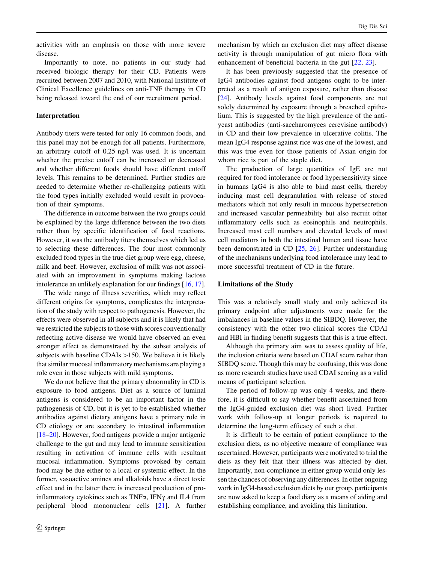activities with an emphasis on those with more severe disease.

Importantly to note, no patients in our study had received biologic therapy for their CD. Patients were recruited between 2007 and 2010, with National Institute of Clinical Excellence guidelines on anti-TNF therapy in CD being released toward the end of our recruitment period.

# Interpretation

Antibody titers were tested for only 16 common foods, and this panel may not be enough for all patients. Furthermore, an arbitrary cutoff of 0.25 ng/l was used. It is uncertain whether the precise cutoff can be increased or decreased and whether different foods should have different cutoff levels. This remains to be determined. Further studies are needed to determine whether re-challenging patients with the food types initially excluded would result in provocation of their symptoms.

The difference in outcome between the two groups could be explained by the large difference between the two diets rather than by specific identification of food reactions. However, it was the antibody titers themselves which led us to selecting these differences. The four most commonly excluded food types in the true diet group were egg, cheese, milk and beef. However, exclusion of milk was not associated with an improvement in symptoms making lactose intolerance an unlikely explanation for our findings [16, 17].

The wide range of illness severities, which may reflect different origins for symptoms, complicates the interpretation of the study with respect to pathogenesis. However, the effects were observed in all subjects and it is likely that had we restricted the subjects to those with scores conventionally reflecting active disease we would have observed an even stronger effect as demonstrated by the subset analysis of subjects with baseline CDAIs  $>150$ . We believe it is likely that similar mucosal inflammatory mechanisms are playing a role even in those subjects with mild symptoms.

We do not believe that the primary abnormality in CD is exposure to food antigens. Diet as a source of luminal antigens is considered to be an important factor in the pathogenesis of CD, but it is yet to be established whether antibodies against dietary antigens have a primary role in CD etiology or are secondary to intestinal inflammation [18–20]. However, food antigens provide a major antigenic challenge to the gut and may lead to immune sensitization resulting in activation of immune cells with resultant mucosal inflammation. Symptoms provoked by certain food may be due either to a local or systemic effect. In the former, vasoactive amines and alkaloids have a direct toxic effect and in the latter there is increased production of proinflammatory cytokines such as TNF $\alpha$ , IFN $\gamma$  and IL4 from peripheral blood mononuclear cells [21]. A further

mechanism by which an exclusion diet may affect disease activity is through manipulation of gut micro flora with enhancement of beneficial bacteria in the gut [22, 23].

It has been previously suggested that the presence of IgG4 antibodies against food antigens ought to be interpreted as a result of antigen exposure, rather than disease [24]. Antibody levels against food components are not solely determined by exposure through a breached epithelium. This is suggested by the high prevalence of the antiyeast antibodies (anti-saccharomyces cerevisiae antibody) in CD and their low prevalence in ulcerative colitis. The mean IgG4 response against rice was one of the lowest, and this was true even for those patients of Asian origin for whom rice is part of the staple diet.

The production of large quantities of IgE are not required for food intolerance or food hypersensitivity since in humans IgG4 is also able to bind mast cells, thereby inducing mast cell degranulation with release of stored mediators which not only result in mucous hypersecretion and increased vascular permeability but also recruit other inflammatory cells such as eosinophils and neutrophils. Increased mast cell numbers and elevated levels of mast cell mediators in both the intestinal lumen and tissue have been demonstrated in CD [25, 26]. Further understanding of the mechanisms underlying food intolerance may lead to more successful treatment of CD in the future.

#### Limitations of the Study

This was a relatively small study and only achieved its primary endpoint after adjustments were made for the imbalances in baseline values in the SIBDQ. However, the consistency with the other two clinical scores the CDAI and HBI in finding benefit suggests that this is a true effect.

Although the primary aim was to assess quality of life, the inclusion criteria were based on CDAI score rather than SIBDQ score. Though this may be confusing, this was done as more research studies have used CDAI scoring as a valid means of participant selection.

The period of follow-up was only 4 weeks, and therefore, it is difficult to say whether benefit ascertained from the IgG4-guided exclusion diet was short lived. Further work with follow-up at longer periods is required to determine the long-term efficacy of such a diet.

It is difficult to be certain of patient compliance to the exclusion diets, as no objective measure of compliance was ascertained. However, participants were motivated to trial the diets as they felt that their illness was affected by diet. Importantly, non-compliance in either group would only lessen the chances of observing any differences. In other ongoing work in IgG4-based exclusion diets by our group, participants are now asked to keep a food diary as a means of aiding and establishing compliance, and avoiding this limitation.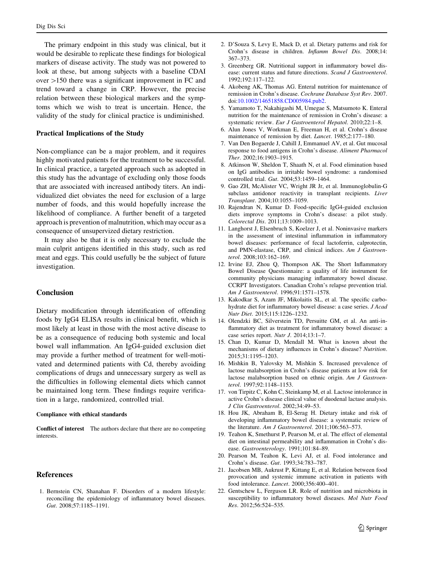The primary endpoint in this study was clinical, but it would be desirable to replicate these findings for biological markers of disease activity. The study was not powered to look at these, but among subjects with a baseline CDAI over  $>150$  there was a significant improvement in FC and trend toward a change in CRP. However, the precise relation between these biological markers and the symptoms which we wish to treat is uncertain. Hence, the validity of the study for clinical practice is undiminished.

## Practical Implications of the Study

Non-compliance can be a major problem, and it requires highly motivated patients for the treatment to be successful. In clinical practice, a targeted approach such as adopted in this study has the advantage of excluding only those foods that are associated with increased antibody titers. An individualized diet obviates the need for exclusion of a large number of foods, and this would hopefully increase the likelihood of compliance. A further benefit of a targeted approach is prevention of malnutrition, which may occur as a consequence of unsupervized dietary restriction.

It may also be that it is only necessary to exclude the main culprit antigens identified in this study, such as red meat and eggs. This could usefully be the subject of future investigation.

## Conclusion

Dietary modification through identification of offending foods by IgG4 ELISA results in clinical benefit, which is most likely at least in those with the most active disease to be as a consequence of reducing both systemic and local bowel wall inflammation. An IgG4-guided exclusion diet may provide a further method of treatment for well-motivated and determined patients with Cd, thereby avoiding complications of drugs and unnecessary surgery as well as the difficulties in following elemental diets which cannot be maintained long term. These findings require verification in a large, randomized, controlled trial.

#### Compliance with ethical standards

Conflict of interest The authors declare that there are no competing interests.

## References

1. Bernstein CN, Shanahan F. Disorders of a modern lifestyle: reconciling the epidemiology of inflammatory bowel diseases. Gut. 2008;57:1185–1191.

- 2. D'Souza S, Levy E, Mack D, et al. Dietary patterns and risk for Crohn's disease in children. Inflamm Bowel Dis. 2008;14: 367–373.
- 3. Greenberg GR. Nutritional support in inflammatory bowel disease: current status and future directions. Scand J Gastroenterol. 1992;192:117–122.
- 4. Akobeng AK, Thomas AG. Enteral nutrition for maintenance of remission in Crohn's disease. Cochrane Database Syst Rev. 2007. doi:10.1002/14651858.CD005984.pub2.
- 5. Yamamoto T, Nakahigashi M, Umegae S, Matsumoto K. Enteral nutrition for the maintenance of remission in Crohn's disease: a systematic review. Eur J Gastroenterol Hepatol. 2010;22:1-8.
- 6. Alun Jones V, Workman E, Freeman H, et al. Crohn's disease maintenance of remission by diet. Lancet. 1985;2:177–180.
- 7. Van Den Bogaerde J, Cahill J, Emmanuel AV, et al. Gut mucosal response to food antigens in Crohn's disease. Aliment Pharmacol Ther. 2002;16:1903–1915.
- 8. Atkinson W, Sheldon T, Shaath N, et al. Food elimination based on IgG antibodies in irritable bowel syndrome: a randomised controlled trial. Gut. 2004;53:1459–1464.
- 9. Gao ZH, McAlister VC, Wright JR Jr, et al. Immunoglobulin-G subclass antidonor reactivity in transplant recipients. Liver Transplant. 2004;10:1055–1059.
- 10. Rajendran N, Kumar D. Food-specific IgG4-guided exclusion diets improve symptoms in Crohn's disease: a pilot study. Colorectal Dis. 2011;13:1009–1013.
- 11. Langhorst J, Elsenbruch S, Koelzer J, et al. Noninvasive markers in the assessment of intestinal inflammation in inflammatory bowel diseases: performance of fecal lactoferrin, calprotectin, and PMN-elastase, CRP, and clinical indices. Am J Gastroenterol. 2008;103:162–169.
- 12. Irvine EJ, Zhou Q, Thompson AK. The Short Inflammatory Bowel Disease Questionnaire: a quality of life instrument for community physicians managing inflammatory bowel disease. CCRPT Investigators. Canadian Crohn's relapse prevention trial. Am J Gastroenterol. 1996;91:1571–1578.
- 13. Kakodkar S, Azam JF, Mikolaitis SL, et al. The specific carbohydrate diet for inflammatory bowel disease: a case series. J Acad Nutr Diet. 2015;115:1226–1232.
- 14. Olendzki BC, Silverstein TD, Persuitte GM, et al. An anti-inflammatory diet as treatment for inflammatory bowel disease: a case series report. Nutr J. 2014;13:1–7.
- 15. Chan D, Kumar D, Mendall M. What is known about the mechanisms of dietary influences in Crohn's disease? Nutrition. 2015;31:1195–1203.
- 16. Mishkin B, Yalovsky M, Mishkin S. Increased prevalence of lactose malabsorption in Crohn's disease patients at low risk for lactose malabsorption based on ethnic origin. Am J Gastroenterol. 1997;92:1148–1153.
- 17. von Tirpitz C, Kohn C, Steinkamp M, et al. Lactose intolerance in active Crohn's disease clinical value of duodenal lactase analysis. J Clin Gastroenterol. 2002;34:49–53.
- 18. Hou JK, Abraham B, El-Serag H. Dietary intake and risk of developing inflammatory bowel disease: a systematic review of the literature. Am J Gastroenterol. 2011;106:563-573.
- 19. Teahon K, Smethurst P, Pearson M, et al. The effect of elemental diet on intestinal permeability and inflammation in Crohn's disease. Gastroenterology. 1991;101:84–89.
- 20. Pearson M, Teahon K, Levi AJ, et al. Food intolerance and Crohn's disease. Gut. 1993;34:783–787.
- 21. Jacobsen MB, Aukrust P, Kittang E, et al. Relation between food provocation and systemic immune activation in patients with food intolerance. Lancet. 2000;356:400–401.
- 22. Gentschew L, Ferguson LR. Role of nutrition and microbiota in susceptibility to inflammatory bowel diseases. Mol Nutr Food Res. 2012;56:524–535.